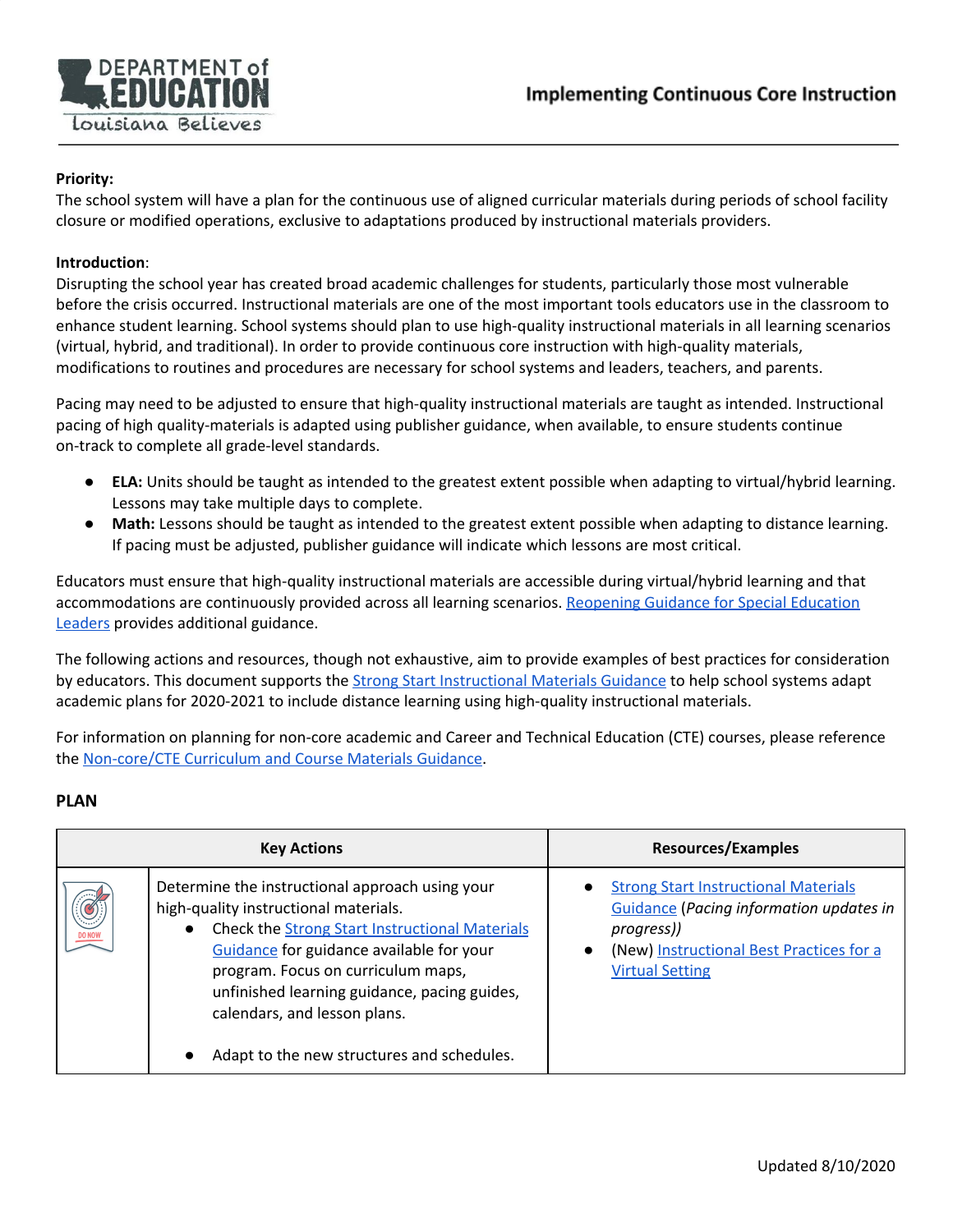

# **Priority:**

The school system will have a plan for the continuous use of aligned curricular materials during periods of school facility closure or modified operations, exclusive to adaptations produced by instructional materials providers.

## **Introduction**:

Disrupting the school year has created broad academic challenges for students, particularly those most vulnerable before the crisis occurred. Instructional materials are one of the most important tools educators use in the classroom to enhance student learning. School systems should plan to use high-quality instructional materials in all learning scenarios (virtual, hybrid, and traditional). In order to provide continuous core instruction with high-quality materials, modifications to routines and procedures are necessary for school systems and leaders, teachers, and parents.

Pacing may need to be adjusted to ensure that high-quality instructional materials are taught as intended. Instructional pacing of high quality-materials is adapted using publisher guidance, when available, to ensure students continue on-track to complete all grade-level standards.

- **ELA:** Units should be taught as intended to the greatest extent possible when adapting to virtual/hybrid learning. Lessons may take multiple days to complete.
- **● Math:** Lessons should be taught as intended to the greatest extent possible when adapting to distance learning. If pacing must be adjusted, publisher guidance will indicate which lessons are most critical.

Educators must ensure that high-quality instructional materials are accessible during virtual/hybrid learning and that accommodations are continuously provided across all learning scenarios. [Reopening](https://www.louisianabelieves.com/docs/default-source/strong-start-2020/strong-start-2020-reopening-guidance-for-special-education-leaders.pdf?sfvrsn=688991f_2) Guidance for Special Education [Leaders](https://www.louisianabelieves.com/docs/default-source/strong-start-2020/strong-start-2020-reopening-guidance-for-special-education-leaders.pdf?sfvrsn=688991f_2) provides additional guidance.

The following actions and resources, though not exhaustive, aim to provide examples of best practices for consideration by educators. This document supports the Strong Start [Instructional](https://www.louisianabelieves.com/docs/default-source/strong-start-2020/instructional-materials-guidance.pdf?sfvrsn=2b259b1f_10) Materials Guidance to help school systems adapt academic plans for 2020-2021 to include distance learning using high-quality instructional materials.

For information on planning for non-core academic and Career and Technical Education (CTE) courses, please reference the [Non-core/CTE](https://www.louisianabelieves.com/docs/default-source/strong-start-2020/implementing-continuous-non-core-and-cte-instruction.docx?sfvrsn=51981f_2) Curriculum and Course Materials Guidance.

#### **PLAN**

| <b>Key Actions</b> |                                                                                                                                                                                                                                                                                                                                                                                | <b>Resources/Examples</b>                                                                                                                                                         |
|--------------------|--------------------------------------------------------------------------------------------------------------------------------------------------------------------------------------------------------------------------------------------------------------------------------------------------------------------------------------------------------------------------------|-----------------------------------------------------------------------------------------------------------------------------------------------------------------------------------|
|                    | Determine the instructional approach using your<br>high-quality instructional materials.<br><b>Check the Strong Start Instructional Materials</b><br>$\bullet$<br>Guidance for guidance available for your<br>program. Focus on curriculum maps,<br>unfinished learning guidance, pacing guides,<br>calendars, and lesson plans.<br>Adapt to the new structures and schedules. | <b>Strong Start Instructional Materials</b><br><b>Guidance (Pacing information updates in</b><br>progress))<br>(New) Instructional Best Practices for a<br><b>Virtual Setting</b> |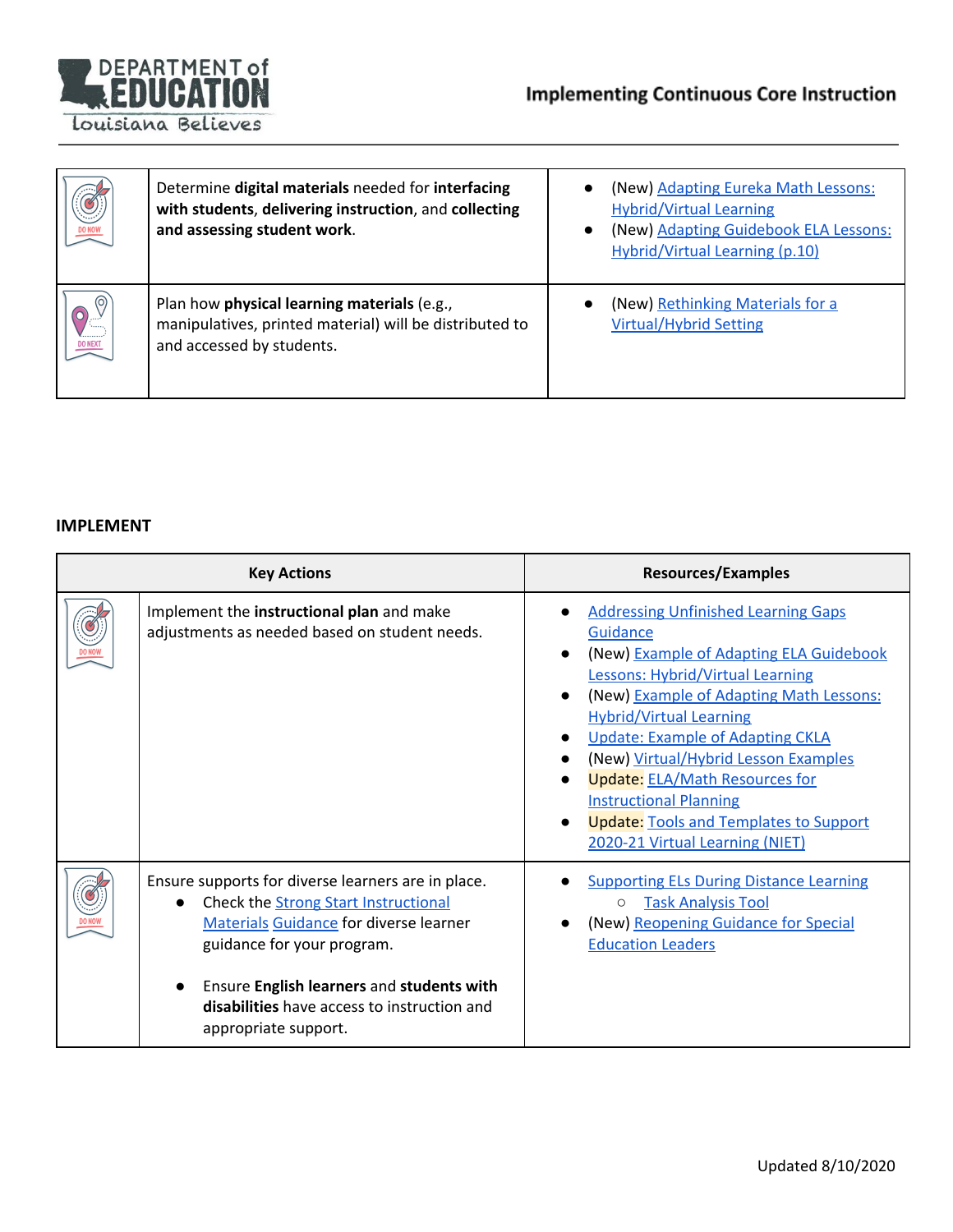

| <b>DO NOW</b>  | Determine digital materials needed for interfacing<br>with students, delivering instruction, and collecting<br>and assessing student work. | (New) Adapting Eureka Math Lessons:<br><b>Hybrid/Virtual Learning</b><br>(New) Adapting Guidebook ELA Lessons:<br><b>Hybrid/Virtual Learning (p.10)</b> |
|----------------|--------------------------------------------------------------------------------------------------------------------------------------------|---------------------------------------------------------------------------------------------------------------------------------------------------------|
| <b>DO NEXT</b> | Plan how physical learning materials (e.g.,<br>manipulatives, printed material) will be distributed to<br>and accessed by students.        | (New) Rethinking Materials for a<br><b>Virtual/Hybrid Setting</b>                                                                                       |

## **IMPLEMENT**

| <b>Key Actions</b> |                                                                                                                                                                                                                                                                                                                   | <b>Resources/Examples</b>                                                                                                                                                                                                                                                                                                                                                                                                                                                  |
|--------------------|-------------------------------------------------------------------------------------------------------------------------------------------------------------------------------------------------------------------------------------------------------------------------------------------------------------------|----------------------------------------------------------------------------------------------------------------------------------------------------------------------------------------------------------------------------------------------------------------------------------------------------------------------------------------------------------------------------------------------------------------------------------------------------------------------------|
|                    | Implement the instructional plan and make<br>adjustments as needed based on student needs.                                                                                                                                                                                                                        | <b>Addressing Unfinished Learning Gaps</b><br>Guidance<br>(New) Example of Adapting ELA Guidebook<br><b>Lessons: Hybrid/Virtual Learning</b><br>(New) Example of Adapting Math Lessons:<br><b>Hybrid/Virtual Learning</b><br><b>Update: Example of Adapting CKLA</b><br>(New) Virtual/Hybrid Lesson Examples<br><b>Update: ELA/Math Resources for</b><br><b>Instructional Planning</b><br><b>Update: Tools and Templates to Support</b><br>2020-21 Virtual Learning (NIET) |
|                    | Ensure supports for diverse learners are in place.<br>Check the <b>Strong Start Instructional</b><br>$\bullet$<br><b>Materials Guidance for diverse learner</b><br>guidance for your program.<br>Ensure English learners and students with<br>disabilities have access to instruction and<br>appropriate support. | <b>Supporting ELs During Distance Learning</b><br><b>Task Analysis Tool</b><br>$\circ$<br>(New) Reopening Guidance for Special<br><b>Education Leaders</b>                                                                                                                                                                                                                                                                                                                 |